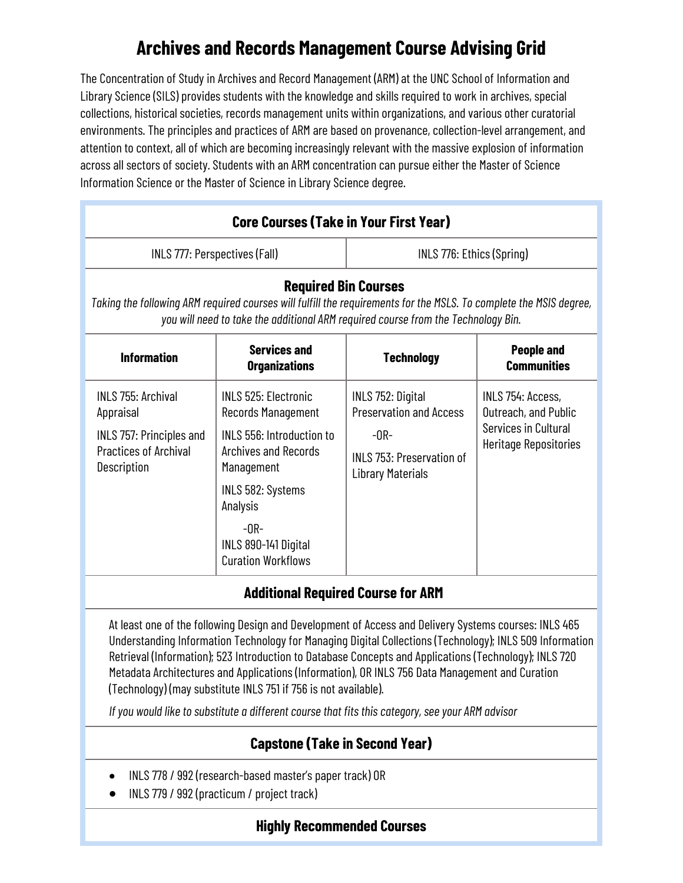# **Archives and Records Management Course Advising Grid**

The Concentration of Study in Archives and Record Management (ARM) at the UNC School of Information and Library Science (SILS) provides students with the knowledge and skills required to work in archives, special collections, historical societies, records management units within organizations, and various other curatorial environments. The principles and practices of ARM are based on provenance, collection-level arrangement, and attention to context, all of which are becoming increasingly relevant with the massive explosion of information across all sectors of society. Students with an ARM concentration can pursue either the Master of Science Information Science or the Master of Science in Library Science degree.

| <b>Core Courses (Take in Your First Year)</b>                                                                                                                                                                                          |                                                                                                                                                                                                                                    |                                                                                                                        |                                                                                            |
|----------------------------------------------------------------------------------------------------------------------------------------------------------------------------------------------------------------------------------------|------------------------------------------------------------------------------------------------------------------------------------------------------------------------------------------------------------------------------------|------------------------------------------------------------------------------------------------------------------------|--------------------------------------------------------------------------------------------|
| INLS 777: Perspectives (Fall)                                                                                                                                                                                                          |                                                                                                                                                                                                                                    | INLS 776: Ethics (Spring)                                                                                              |                                                                                            |
| <b>Required Bin Courses</b><br>Taking the following ARM required courses will fulfill the requirements for the MSLS. To complete the MSIS degree,<br>you will need to take the additional ARM required course from the Technology Bin. |                                                                                                                                                                                                                                    |                                                                                                                        |                                                                                            |
| <b>Information</b>                                                                                                                                                                                                                     | <b>Services and</b><br><b>Organizations</b>                                                                                                                                                                                        | <b>Technology</b>                                                                                                      | <b>People and</b><br><b>Communities</b>                                                    |
| <b>INLS 755: Archival</b><br>Appraisal<br>INLS 757: Principles and<br><b>Practices of Archival</b><br>Description                                                                                                                      | <b>INLS 525: Electronic</b><br><b>Records Management</b><br>INLS 556: Introduction to<br><b>Archives and Records</b><br>Management<br>INLS 582: Systems<br>Analysis<br>$-0R-$<br>INLS 890-141 Digital<br><b>Curation Workflows</b> | INLS 752: Digital<br><b>Preservation and Access</b><br>$-OR-$<br>INLS 753: Preservation of<br><b>Library Materials</b> | INLS 754: Access,<br>Outreach, and Public<br>Services in Cultural<br>Heritage Repositories |

## **Additional Required Course for ARM**

At least one of the following Design and Development of Access and Delivery Systems courses: INLS 465 Understanding Information Technology for Managing Digital Collections (Technology); INLS 509 Information Retrieval (Information); 523 Introduction to Database Concepts and Applications (Technology); INLS 720 Metadata Architectures and Applications (Information), OR INLS 756 Data Management and Curation (Technology) (may substitute INLS 751 if 756 is not available).

*If you would like to substitute a different course that fits this category, see your ARM advisor*

## **Capstone (Take in Second Year)**

- INLS 778 / 992 (research-based master's paper track) OR
- INLS 779 / 992 (practicum / project track)

## **Highly Recommended Courses**